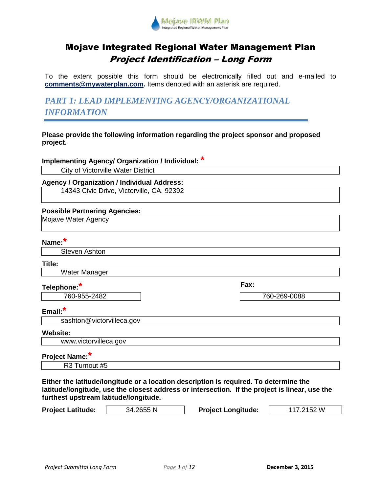

# Mojave Integrated Regional Water Management Plan Project Identification – Long Form

To the extent possible this form should be electronically filled out and e-mailed to **[comments@mywaterplan.com.](mailto:comments@mywaterplan.com)** Items denoted with an asterisk are required.

*PART 1: LEAD IMPLEMENTING AGENCY/ORGANIZATIONAL INFORMATION*

**Please provide the following information regarding the project sponsor and proposed project.**

**Implementing Agency/ Organization / Individual: \***

City of Victorville Water District

### **Agency / Organization / Individual Address:**

14343 Civic Drive, Victorville, CA. 92392

### **Possible Partnering Agencies:**

Mojave Water Agency

### **Name:\***

Steven Ashton

### **Title:**

Water Manager

### **Telephone:\***

760-955-2482 760-269-0088

**Fax:**

### **Email:\***

sashton@victorvilleca.gov

### **Website:**

www.victorvilleca.gov

## **Project Name: \***

R3 Turnout #5

**Either the latitude/longitude or a location description is required. To determine the latitude/longitude, use the closest address or intersection. If the project is linear, use the furthest upstream latitude/longitude.**

| <b>Project Latitude:</b> | 34.2655 N | <b>Project Longitude:</b> | 117.2152 W |
|--------------------------|-----------|---------------------------|------------|
|                          |           |                           |            |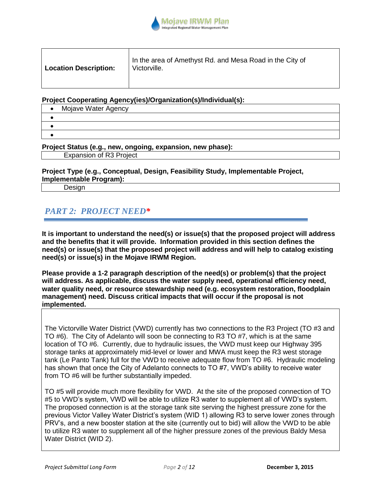

| <b>Location Description:</b> | In the area of Amethyst Rd. and Mesa Road in the City of<br>Victorville. |
|------------------------------|--------------------------------------------------------------------------|
|                              |                                                                          |

**Project Cooperating Agency(ies)/Organization(s)/Individual(s):**

| Mojave Water Agency |
|---------------------|
|                     |
|                     |
|                     |

**Project Status (e.g., new, ongoing, expansion, new phase):** Expansion of R3 Project

**Project Type (e.g., Conceptual, Design, Feasibility Study, Implementable Project, Implementable Program):**

Design

## *PART 2: PROJECT NEED\**

**It is important to understand the need(s) or issue(s) that the proposed project will address and the benefits that it will provide. Information provided in this section defines the need(s) or issue(s) that the proposed project will address and will help to catalog existing need(s) or issue(s) in the Mojave IRWM Region.** 

**Please provide a 1-2 paragraph description of the need(s) or problem(s) that the project will address. As applicable, discuss the water supply need, operational efficiency need, water quality need, or resource stewardship need (e.g. ecosystem restoration, floodplain management) need. Discuss critical impacts that will occur if the proposal is not implemented.** 

The Victorville Water District (VWD) currently has two connections to the R3 Project (TO #3 and TO #6). The City of Adelanto will soon be connecting to R3 TO #7, which is at the same location of TO #6. Currently, due to hydraulic issues, the VWD must keep our Highway 395 storage tanks at approximately mid-level or lower and MWA must keep the R3 west storage tank (Le Panto Tank) full for the VWD to receive adequate flow from TO #6. Hydraulic modeling has shown that once the City of Adelanto connects to TO #7, VWD's ability to receive water from TO #6 will be further substantially impeded.

TO #5 will provide much more flexibility for VWD. At the site of the proposed connection of TO #5 to VWD's system, VWD will be able to utilize R3 water to supplement all of VWD's system. The proposed connection is at the storage tank site serving the highest pressure zone for the previous Victor Valley Water District's system (WID 1) allowing R3 to serve lower zones through PRV's, and a new booster station at the site (currently out to bid) will allow the VWD to be able to utilize R3 water to supplement all of the higher pressure zones of the previous Baldy Mesa Water District (WID 2).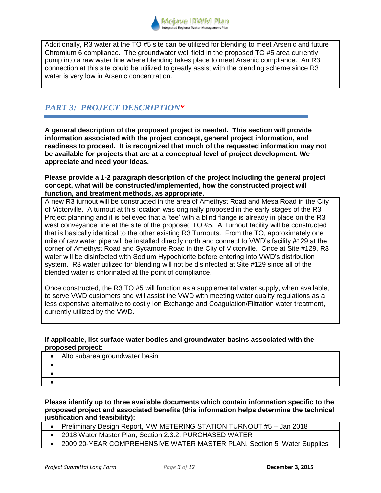

Additionally, R3 water at the TO #5 site can be utilized for blending to meet Arsenic and future Chromium 6 compliance. The groundwater well field in the proposed TO #5 area currently pump into a raw water line where blending takes place to meet Arsenic compliance. An R3 connection at this site could be utilized to greatly assist with the blending scheme since R3 water is very low in Arsenic concentration.

## *PART 3: PROJECT DESCRIPTION\**

**A general description of the proposed project is needed. This section will provide information associated with the project concept, general project information, and readiness to proceed. It is recognized that much of the requested information may not be available for projects that are at a conceptual level of project development. We appreciate and need your ideas.** 

### **Please provide a 1-2 paragraph description of the project including the general project concept, what will be constructed/implemented, how the constructed project will function, and treatment methods, as appropriate.**

A new R3 turnout will be constructed in the area of Amethyst Road and Mesa Road in the City of Victorville. A turnout at this location was originally proposed in the early stages of the R3 Project planning and it is believed that a 'tee' with a blind flange is already in place on the R3 west conveyance line at the site of the proposed TO #5. A Turnout facility will be constructed that is basically identical to the other existing R3 Turnouts. From the TO, approximately one mile of raw water pipe will be installed directly north and connect to VWD's facility #129 at the corner of Amethyst Road and Sycamore Road in the City of Victorville. Once at Site #129, R3 water will be disinfected with Sodium Hypochlorite before entering into VWD's distribution system. R3 water utilized for blending will not be disinfected at Site #129 since all of the blended water is chlorinated at the point of compliance.

Once constructed, the R3 TO #5 will function as a supplemental water supply, when available, to serve VWD customers and will assist the VWD with meeting water quality regulations as a less expensive alternative to costly Ion Exchange and Coagulation/Filtration water treatment, currently utilized by the VWD.

### **If applicable, list surface water bodies and groundwater basins associated with the proposed project:**

| Alto subarea groundwater basin<br>٠ |  |
|-------------------------------------|--|
|                                     |  |
|                                     |  |
|                                     |  |

**Please identify up to three available documents which contain information specific to the proposed project and associated benefits (this information helps determine the technical justification and feasibility):**

- Preliminary Design Report, MW METERING STATION TURNOUT #5 Jan 2018
- 2018 Water Master Plan, Section 2.3.2. PURCHASED WATER
- 2009 20-YEAR COMPREHENSIVE WATER MASTER PLAN, Section 5 Water Supplies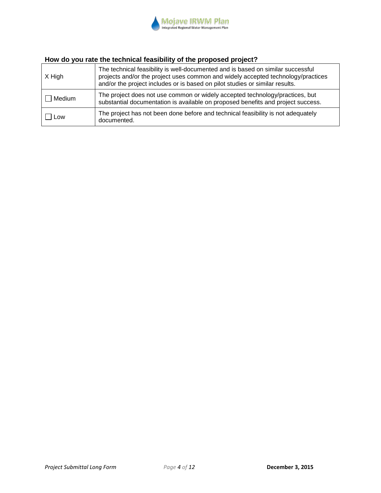

# **How do you rate the technical feasibility of the proposed project?**

| X High | The technical feasibility is well-documented and is based on similar successful<br>projects and/or the project uses common and widely accepted technology/practices<br>and/or the project includes or is based on pilot studies or similar results. |
|--------|-----------------------------------------------------------------------------------------------------------------------------------------------------------------------------------------------------------------------------------------------------|
| Medium | The project does not use common or widely accepted technology/practices, but<br>substantial documentation is available on proposed benefits and project success.                                                                                    |
| Low    | The project has not been done before and technical feasibility is not adequately<br>documented.                                                                                                                                                     |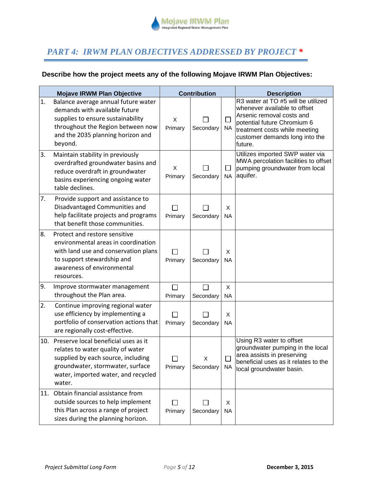

## *PART 4: IRWM PLAN OBJECTIVES ADDRESSED BY PROJECT \**

## **Describe how the project meets any of the following Mojave IRWM Plan Objectives:**

|     | <b>Mojave IRWM Plan Objective</b>                                                                                                                                                                    |                                     | <b>Contribution</b> |                     | <b>Description</b>                                                                                                                                                                                           |
|-----|------------------------------------------------------------------------------------------------------------------------------------------------------------------------------------------------------|-------------------------------------|---------------------|---------------------|--------------------------------------------------------------------------------------------------------------------------------------------------------------------------------------------------------------|
| 1.  | Balance average annual future water<br>demands with available future<br>supplies to ensure sustainability<br>throughout the Region between now<br>and the 2035 planning horizon and<br>beyond.       | X<br>Primary                        | Secondary           | $\Box$<br>NA.       | R3 water at TO #5 will be utilized<br>whenever available to offset<br>Arsenic removal costs and<br>potential future Chromium 6<br>treatment costs while meeting<br>customer demands long into the<br>future. |
| 3.  | Maintain stability in previously<br>overdrafted groundwater basins and<br>reduce overdraft in groundwater<br>basins experiencing ongoing water<br>table declines.                                    | X<br>Primary                        | Secondary           | $\Box$<br><b>NA</b> | Utilizes imported SWP water via<br>MWA percolation facilities to offset<br>pumping groundwater from local<br>aquifer.                                                                                        |
| 7.  | Provide support and assistance to<br>Disadvantaged Communities and<br>help facilitate projects and programs<br>that benefit those communities.                                                       | $\mathsf{L}$<br>Primary             | Secondary           | X<br>NA             |                                                                                                                                                                                                              |
| 8.  | Protect and restore sensitive<br>environmental areas in coordination<br>with land use and conservation plans<br>to support stewardship and<br>awareness of environmental<br>resources.               | $\vert \ \ \vert$<br>Primary        | Secondary           | X<br><b>NA</b>      |                                                                                                                                                                                                              |
| 9.  | Improve stormwater management<br>throughout the Plan area.                                                                                                                                           | П<br>Primary                        | П<br>Secondary      | X<br>NA             |                                                                                                                                                                                                              |
| 2.  | Continue improving regional water<br>use efficiency by implementing a<br>portfolio of conservation actions that<br>are regionally cost-effective.                                                    | Primary                             | Secondary           | X<br><b>NA</b>      |                                                                                                                                                                                                              |
| 10. | Preserve local beneficial uses as it<br>relates to water quality of water<br>supplied by each source, including<br>groundwater, stormwater, surface<br>water, imported water, and recycled<br>water. | $\overline{\phantom{a}}$<br>Primary | X<br>Secondary      | NA.                 | Using R3 water to offset<br>groundwater pumping in the local<br>area assists in preserving<br>beneficial uses as it relates to the<br>local groundwater basin.                                               |
| 11. | Obtain financial assistance from<br>outside sources to help implement<br>this Plan across a range of project<br>sizes during the planning horizon.                                                   | Primary                             | Secondary           | X<br><b>NA</b>      |                                                                                                                                                                                                              |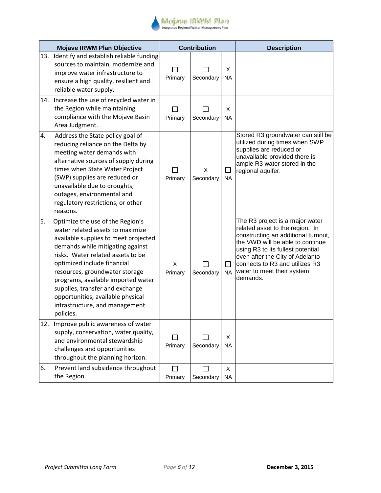

|     | <b>Mojave IRWM Plan Objective</b>                                                                                                                                                                                                                                                                                                                                                                                   |                         | <b>Contribution</b> |                      | <b>Description</b>                                                                                                                                                                                                                                                                                |
|-----|---------------------------------------------------------------------------------------------------------------------------------------------------------------------------------------------------------------------------------------------------------------------------------------------------------------------------------------------------------------------------------------------------------------------|-------------------------|---------------------|----------------------|---------------------------------------------------------------------------------------------------------------------------------------------------------------------------------------------------------------------------------------------------------------------------------------------------|
|     | 13. Identify and establish reliable funding<br>sources to maintain, modernize and<br>improve water infrastructure to<br>ensure a high quality, resilient and<br>reliable water supply.                                                                                                                                                                                                                              | Primary                 | Secondary           | х<br><b>NA</b>       |                                                                                                                                                                                                                                                                                                   |
|     | 14. Increase the use of recycled water in<br>the Region while maintaining<br>compliance with the Mojave Basin<br>Area Judgment.                                                                                                                                                                                                                                                                                     | $\mathsf{L}$<br>Primary | Secondary           | X<br><b>NA</b>       |                                                                                                                                                                                                                                                                                                   |
| 4.  | Address the State policy goal of<br>reducing reliance on the Delta by<br>meeting water demands with<br>alternative sources of supply during<br>times when State Water Project<br>(SWP) supplies are reduced or<br>unavailable due to droughts,<br>outages, environmental and<br>regulatory restrictions, or other<br>reasons.                                                                                       | П<br>Primary            | X<br>Secondary      | $\perp$<br><b>NA</b> | Stored R3 groundwater can still be<br>utilized during times when SWP<br>supplies are reduced or<br>unavailable provided there is<br>ample R3 water stored in the<br>regional aquifer.                                                                                                             |
| 5.  | Optimize the use of the Region's<br>water related assets to maximize<br>available supplies to meet projected<br>demands while mitigating against<br>risks. Water related assets to be<br>optimized include financial<br>resources, groundwater storage<br>programs, available imported water<br>supplies, transfer and exchange<br>opportunities, available physical<br>infrastructure, and management<br>policies. | X<br>Primary            | Secondary           | <b>NA</b>            | The R3 project is a major water<br>related asset to the region. In<br>constructing an additional turnout,<br>the VWD will be able to continue<br>using R3 to its fullest potential<br>even after the City of Adelanto<br>connects to R3 and utilizes R3<br>water to meet their system<br>demands. |
| 12. | Improve public awareness of water<br>supply, conservation, water quality,<br>and environmental stewardship<br>challenges and opportunities<br>throughout the planning horizon.                                                                                                                                                                                                                                      | П<br>Primary            | Secondary           | X<br><b>NA</b>       |                                                                                                                                                                                                                                                                                                   |
| 6.  | Prevent land subsidence throughout<br>the Region.                                                                                                                                                                                                                                                                                                                                                                   | $\Box$<br>Primary       | Secondary           | X<br><b>NA</b>       |                                                                                                                                                                                                                                                                                                   |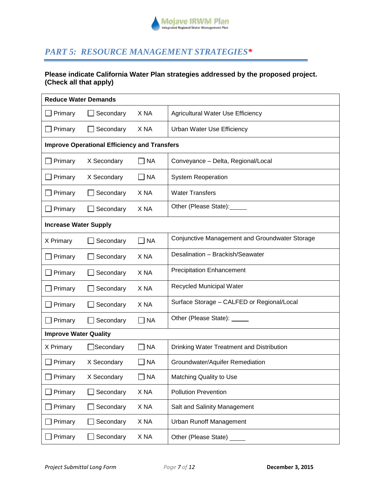

## *PART 5: RESOURCE MANAGEMENT STRATEGIES\**

### **Please indicate California Water Plan strategies addressed by the proposed project. (Check all that apply)**

|                              | <b>Reduce Water Demands</b>                         |                 |                                                |  |  |
|------------------------------|-----------------------------------------------------|-----------------|------------------------------------------------|--|--|
| Primary                      | Secondary                                           | X <sub>NA</sub> | <b>Agricultural Water Use Efficiency</b>       |  |  |
| Primary                      | Secondary                                           | X NA            | Urban Water Use Efficiency                     |  |  |
|                              | <b>Improve Operational Efficiency and Transfers</b> |                 |                                                |  |  |
| Primary                      | X Secondary                                         | $\neg$ NA       | Conveyance - Delta, Regional/Local             |  |  |
| Primary                      | X Secondary                                         | $\neg$ NA       | <b>System Reoperation</b>                      |  |  |
| Primary                      | Secondary                                           | X NA            | <b>Water Transfers</b>                         |  |  |
| Primary                      | Secondary                                           | X NA            | Other (Please State):                          |  |  |
| <b>Increase Water Supply</b> |                                                     |                 |                                                |  |  |
| X Primary                    | Secondary                                           | $\Box$ NA       | Conjunctive Management and Groundwater Storage |  |  |
| Primary                      | Secondary                                           | X NA            | Desalination - Brackish/Seawater               |  |  |
| Primary                      | Secondary                                           | X <sub>NA</sub> | <b>Precipitation Enhancement</b>               |  |  |
| Primary                      | Secondary                                           | X <sub>NA</sub> | Recycled Municipal Water                       |  |  |
| Primary                      | Secondary                                           | X <sub>NA</sub> | Surface Storage - CALFED or Regional/Local     |  |  |
| Primary                      | Secondary                                           | $\neg$ NA       | Other (Please State): ____                     |  |  |
| <b>Improve Water Quality</b> |                                                     |                 |                                                |  |  |
| X Primary                    | Secondary                                           | $\sqsupset$ NA  | Drinking Water Treatment and Distribution      |  |  |
| Primary                      | X Secondary                                         | <b>NA</b>       | Groundwater/Aquifer Remediation                |  |  |
| Primary                      | X Secondary                                         | <b>NA</b>       | Matching Quality to Use                        |  |  |
| Primary                      | Secondary                                           | X NA            | <b>Pollution Prevention</b>                    |  |  |
| Primary                      | Secondary                                           | X NA            | Salt and Salinity Management                   |  |  |
| Primary                      | Secondary                                           | X NA            | <b>Urban Runoff Management</b>                 |  |  |
| Primary                      | Secondary                                           | X NA            | Other (Please State)                           |  |  |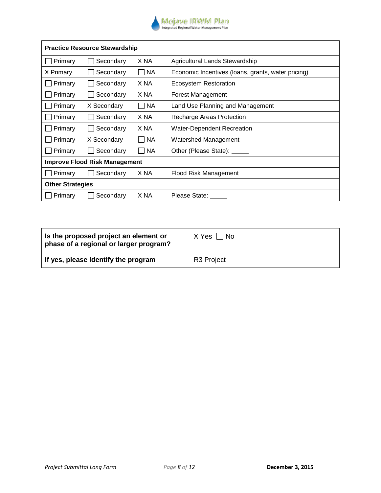

| <b>Practice Resource Stewardship</b> |                                      |                             |                                                    |  |  |
|--------------------------------------|--------------------------------------|-----------------------------|----------------------------------------------------|--|--|
| Primary                              | Secondary                            | X NA                        | Agricultural Lands Stewardship                     |  |  |
| X Primary                            | Secondary                            | <b>NA</b><br>$\blacksquare$ | Economic Incentives (loans, grants, water pricing) |  |  |
| Primary                              | Secondary                            | X NA                        | <b>Ecosystem Restoration</b>                       |  |  |
| Primary                              | Secondary                            | X NA                        | Forest Management                                  |  |  |
| Primary                              | X Secondary                          | $\Box$ NA                   | Land Use Planning and Management                   |  |  |
| Primary                              | Secondary                            | X NA                        | Recharge Areas Protection                          |  |  |
| Primary                              | Secondary                            | X NA                        | Water-Dependent Recreation                         |  |  |
| Primary                              | X Secondary                          | <b>NA</b>                   | <b>Watershed Management</b>                        |  |  |
| Primary                              | Secondary                            | <b>NA</b>                   | Other (Please State):                              |  |  |
|                                      | <b>Improve Flood Risk Management</b> |                             |                                                    |  |  |
| Primary                              | Secondary                            | X NA                        | Flood Risk Management                              |  |  |
| <b>Other Strategies</b>              |                                      |                             |                                                    |  |  |
| Primary                              | Secondary                            | X NA                        | Please State:                                      |  |  |

| Is the proposed project an element or<br>phase of a regional or larger program? | X Yes     No |
|---------------------------------------------------------------------------------|--------------|
| If yes, please identify the program                                             | R3 Project   |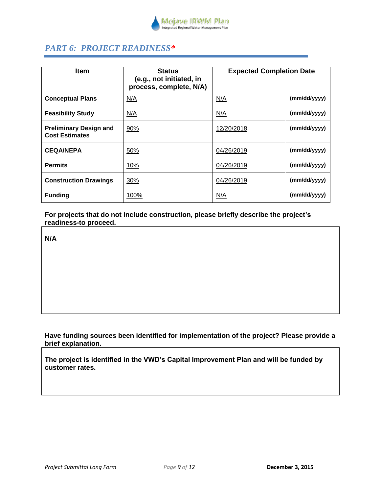

# *PART 6: PROJECT READINESS\**

| <b>Item</b>                                            | <b>Status</b><br>(e.g., not initiated, in<br>process, complete, N/A) | <b>Expected Completion Date</b> |
|--------------------------------------------------------|----------------------------------------------------------------------|---------------------------------|
| <b>Conceptual Plans</b>                                | N/A                                                                  | (mm/dd/yyyy)<br>N/A             |
| <b>Feasibility Study</b>                               | N/A                                                                  | (mm/dd/yyyy)<br>N/A             |
| <b>Preliminary Design and</b><br><b>Cost Estimates</b> | 90%                                                                  | (mm/dd/yyyy)<br>12/20/2018      |
| <b>CEQA/NEPA</b>                                       | 50%                                                                  | (mm/dd/yyyy)<br>04/26/2019      |
| <b>Permits</b>                                         | 10%                                                                  | (mm/dd/yyyy)<br>04/26/2019      |
| <b>Construction Drawings</b>                           | 30%                                                                  | (mm/dd/yyyy)<br>04/26/2019      |
| <b>Funding</b>                                         | 100%                                                                 | (mm/dd/yyyy)<br>N/A             |

**For projects that do not include construction, please briefly describe the project's readiness-to proceed.**

**N/A**

### **Have funding sources been identified for implementation of the project? Please provide a brief explanation.**

**The project is identified in the VWD's Capital Improvement Plan and will be funded by customer rates.**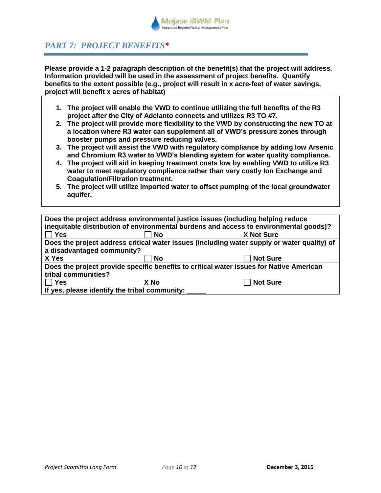

# *PART 7: PROJECT BENEFITS\**

**Please provide a 1-2 paragraph description of the benefit(s) that the project will address. Information provided will be used in the assessment of project benefits. Quantify benefits to the extent possible (e.g., project will result in x acre-feet of water savings, project will benefit x acres of habitat)**

- **1. The project will enable the VWD to continue utilizing the full benefits of the R3 project after the City of Adelanto connects and utilizes R3 TO #7.**
- **2. The project will provide more flexibility to the VWD by constructing the new TO at a location where R3 water can supplement all of VWD's pressure zones through booster pumps and pressure reducing valves.**
- **3. The project will assist the VWD with regulatory compliance by adding low Arsenic and Chromium R3 water to VWD's blending system for water quality compliance.**
- **4. The project will aid in keeping treatment costs low by enabling VWD to utilize R3 water to meet regulatory compliance rather than very costly Ion Exchange and Coagulation/Filtration treatment.**
- **5. The project will utilize imported water to offset pumping of the local groundwater aquifer.**

| Does the project address environmental justice issues (including helping reduce<br>inequitable distribution of environmental burdens and access to environmental goods)? |                                                                                             |                   |  |  |  |
|--------------------------------------------------------------------------------------------------------------------------------------------------------------------------|---------------------------------------------------------------------------------------------|-------------------|--|--|--|
| <b>Yes</b>                                                                                                                                                               | <b>No</b>                                                                                   | <b>X Not Sure</b> |  |  |  |
|                                                                                                                                                                          | Does the project address critical water issues (including water supply or water quality) of |                   |  |  |  |
| a disadvantaged community?                                                                                                                                               |                                                                                             |                   |  |  |  |
| X Yes                                                                                                                                                                    | <b>No</b>                                                                                   | <b>Not Sure</b>   |  |  |  |
| Does the project provide specific benefits to critical water issues for Native American                                                                                  |                                                                                             |                   |  |  |  |
| tribal communities?                                                                                                                                                      |                                                                                             |                   |  |  |  |
| <b>Yes</b>                                                                                                                                                               | X No                                                                                        | <b>Not Sure</b>   |  |  |  |
| If yes, please identify the tribal community:                                                                                                                            |                                                                                             |                   |  |  |  |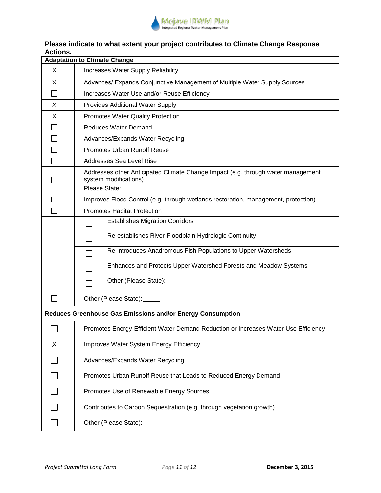

## **Please indicate to what extent your project contributes to Climate Change Response Actions.**

| <b>Adaptation to Climate Change</b>                        |                                                                                                                            |  |  |
|------------------------------------------------------------|----------------------------------------------------------------------------------------------------------------------------|--|--|
| X                                                          | Increases Water Supply Reliability                                                                                         |  |  |
| X                                                          | Advances/ Expands Conjunctive Management of Multiple Water Supply Sources                                                  |  |  |
|                                                            | Increases Water Use and/or Reuse Efficiency                                                                                |  |  |
| X                                                          | Provides Additional Water Supply                                                                                           |  |  |
| X                                                          | Promotes Water Quality Protection                                                                                          |  |  |
|                                                            | <b>Reduces Water Demand</b>                                                                                                |  |  |
|                                                            | Advances/Expands Water Recycling                                                                                           |  |  |
|                                                            | Promotes Urban Runoff Reuse                                                                                                |  |  |
|                                                            | <b>Addresses Sea Level Rise</b>                                                                                            |  |  |
|                                                            | Addresses other Anticipated Climate Change Impact (e.g. through water management<br>system modifications)<br>Please State: |  |  |
|                                                            | Improves Flood Control (e.g. through wetlands restoration, management, protection)                                         |  |  |
|                                                            | <b>Promotes Habitat Protection</b>                                                                                         |  |  |
|                                                            | <b>Establishes Migration Corridors</b>                                                                                     |  |  |
|                                                            | Re-establishes River-Floodplain Hydrologic Continuity                                                                      |  |  |
|                                                            | Re-introduces Anadromous Fish Populations to Upper Watersheds                                                              |  |  |
|                                                            | Enhances and Protects Upper Watershed Forests and Meadow Systems                                                           |  |  |
|                                                            | Other (Please State):                                                                                                      |  |  |
|                                                            | Other (Please State): ______                                                                                               |  |  |
| Reduces Greenhouse Gas Emissions and/or Energy Consumption |                                                                                                                            |  |  |
|                                                            | Promotes Energy-Efficient Water Demand Reduction or Increases Water Use Efficiency                                         |  |  |
| X                                                          | Improves Water System Energy Efficiency                                                                                    |  |  |
|                                                            | Advances/Expands Water Recycling                                                                                           |  |  |
|                                                            | Promotes Urban Runoff Reuse that Leads to Reduced Energy Demand                                                            |  |  |
|                                                            | Promotes Use of Renewable Energy Sources                                                                                   |  |  |
|                                                            | Contributes to Carbon Sequestration (e.g. through vegetation growth)                                                       |  |  |
|                                                            | Other (Please State):                                                                                                      |  |  |